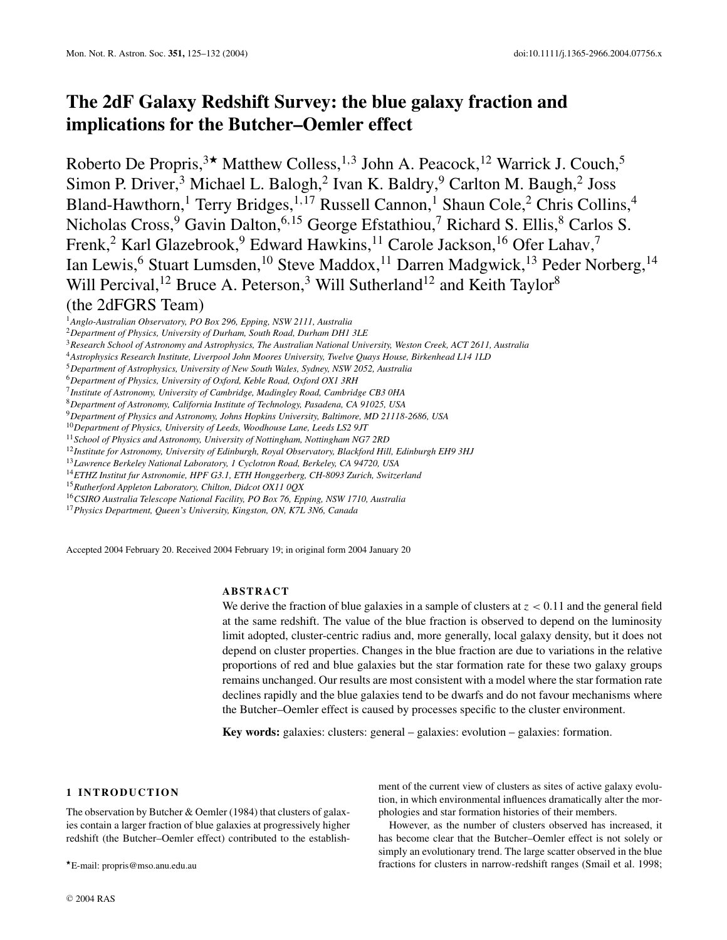# **The 2dF Galaxy Redshift Survey: the blue galaxy fraction and implications for the Butcher–Oemler effect**

Roberto De Propris,<sup>3\*</sup> Matthew Colless,<sup>1,3</sup> John A. Peacock,<sup>12</sup> Warrick J. Couch,<sup>5</sup> Simon P. Driver,<sup>3</sup> Michael L. Balogh,<sup>2</sup> Ivan K. Baldry,<sup>9</sup> Carlton M. Baugh,<sup>2</sup> Joss Bland-Hawthorn,<sup>1</sup> Terry Bridges,<sup>1,17</sup> Russell Cannon,<sup>1</sup> Shaun Cole,<sup>2</sup> Chris Collins,<sup>4</sup> Nicholas Cross,<sup>9</sup> Gavin Dalton,<sup>6,15</sup> George Efstathiou,<sup>7</sup> Richard S. Ellis,<sup>8</sup> Carlos S. Frenk,<sup>2</sup> Karl Glazebrook,<sup>9</sup> Edward Hawkins,<sup>11</sup> Carole Jackson,<sup>16</sup> Ofer Lahav,<sup>7</sup> Ian Lewis, <sup>6</sup> Stuart Lumsden, <sup>10</sup> Steve Maddox, <sup>11</sup> Darren Madgwick, <sup>13</sup> Peder Norberg, <sup>14</sup> Will Percival,<sup>12</sup> Bruce A. Peterson,<sup>3</sup> Will Sutherland<sup>12</sup> and Keith Taylor<sup>8</sup> (the 2dFGRS Team)

<sup>1</sup>*Anglo-Australian Observatory, PO Box 296, Epping, NSW 2111, Australia*

<sup>4</sup>*Astrophysics Research Institute, Liverpool John Moores University, Twelve Quays House, Birkenhead L14 1LD*

<sup>5</sup>*Department of Astrophysics, University of New South Wales, Sydney, NSW 2052, Australia*

7 *Institute of Astronomy, University of Cambridge, Madingley Road, Cambridge CB3 0HA*

<sup>8</sup>*Department of Astronomy, California Institute of Technology, Pasadena, CA 91025, USA*

<sup>9</sup>*Department of Physics and Astronomy, Johns Hopkins University, Baltimore, MD 21118-2686, USA*

<sup>10</sup>*Department of Physics, University of Leeds, Woodhouse Lane, Leeds LS2 9JT*

<sup>11</sup>*School of Physics and Astronomy, University of Nottingham, Nottingham NG7 2RD*

<sup>12</sup>*Institute for Astronomy, University of Edinburgh, Royal Observatory, Blackford Hill, Edinburgh EH9 3HJ*

<sup>13</sup>*Lawrence Berkeley National Laboratory, 1 Cyclotron Road, Berkeley, CA 94720, USA*

<sup>14</sup>*ETHZ Institut fur Astronomie, HPF G3.1, ETH Honggerberg, CH-8093 Zurich, Switzerland*

<sup>17</sup>*Physics Department, Queen's University, Kingston, ON, K7L 3N6, Canada*

Accepted 2004 February 20. Received 2004 February 19; in original form 2004 January 20

# **ABSTRACT**

We derive the fraction of blue galaxies in a sample of clusters at  $z < 0.11$  and the general field at the same redshift. The value of the blue fraction is observed to depend on the luminosity limit adopted, cluster-centric radius and, more generally, local galaxy density, but it does not depend on cluster properties. Changes in the blue fraction are due to variations in the relative proportions of red and blue galaxies but the star formation rate for these two galaxy groups remains unchanged. Our results are most consistent with a model where the star formation rate declines rapidly and the blue galaxies tend to be dwarfs and do not favour mechanisms where the Butcher–Oemler effect is caused by processes specific to the cluster environment.

**Key words:** galaxies: clusters: general – galaxies: evolution – galaxies: formation.

## **1 INTRODUCTION**

The observation by Butcher & Oemler (1984) that clusters of galaxies contain a larger fraction of blue galaxies at progressively higher redshift (the Butcher–Oemler effect) contributed to the establishment of the current view of clusters as sites of active galaxy evolution, in which environmental influences dramatically alter the morphologies and star formation histories of their members.

However, as the number of clusters observed has increased, it has become clear that the Butcher–Oemler effect is not solely or simply an evolutionary trend. The large scatter observed in the blue fractions for clusters in narrow-redshift ranges (Smail et al. 1998;

<sup>2</sup>*Department of Physics, University of Durham, South Road, Durham DH1 3LE*

<sup>3</sup>*Research School of Astronomy and Astrophysics, The Australian National University, Weston Creek, ACT 2611, Australia*

<sup>6</sup>*Department of Physics, University of Oxford, Keble Road, Oxford OX1 3RH*

<sup>15</sup>*Rutherford Appleton Laboratory, Chilton, Didcot OX11 0QX*

<sup>16</sup>*CSIRO Australia Telescope National Facility, PO Box 76, Epping, NSW 1710, Australia*

<sup>-</sup>E-mail: propris@mso.anu.edu.au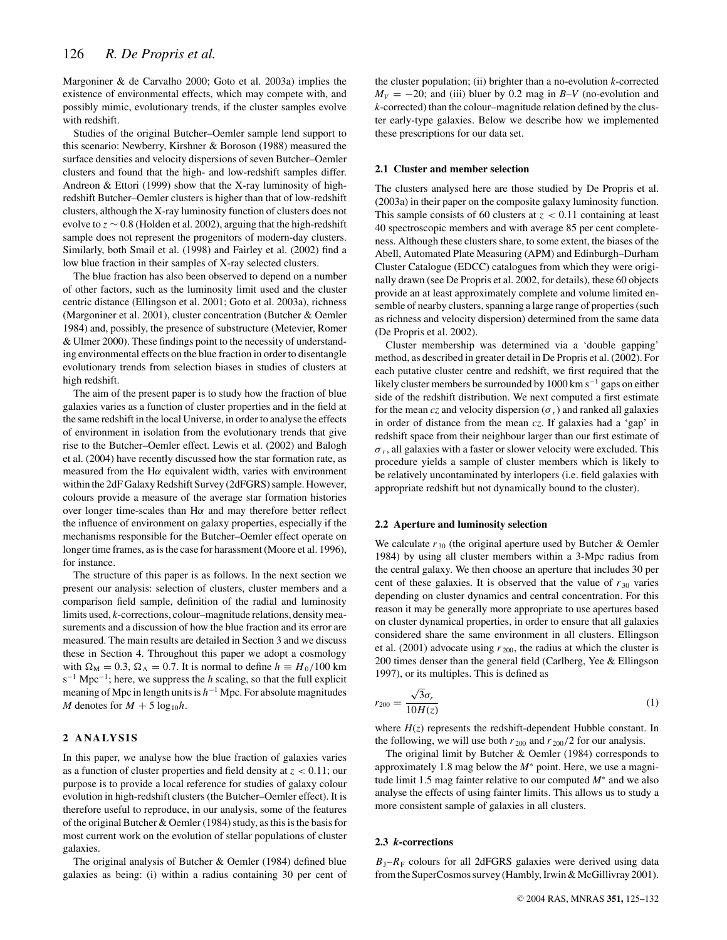Margoniner & de Carvalho 2000; Goto et al. 2003a) implies the existence of environmental effects, which may compete with, and possibly mimic, evolutionary trends, if the cluster samples evolve with redshift.

Studies of the original Butcher–Oemler sample lend support to this scenario: Newberry, Kirshner & Boroson (1988) measured the surface densities and velocity dispersions of seven Butcher–Oemler clusters and found that the high- and low-redshift samples differ. Andreon & Ettori (1999) show that the X-ray luminosity of highredshift Butcher–Oemler clusters is higher than that of low-redshift clusters, although the X-ray luminosity function of clusters does not evolve to *z* ∼ 0.8 (Holden et al. 2002), arguing that the high-redshift sample does not represent the progenitors of modern-day clusters. Similarly, both Smail et al. (1998) and Fairley et al. (2002) find a low blue fraction in their samples of X-ray selected clusters.

The blue fraction has also been observed to depend on a number of other factors, such as the luminosity limit used and the cluster centric distance (Ellingson et al. 2001; Goto et al. 2003a), richness (Margoniner et al. 2001), cluster concentration (Butcher & Oemler 1984) and, possibly, the presence of substructure (Metevier, Romer & Ulmer 2000). These findings point to the necessity of understanding environmental effects on the blue fraction in order to disentangle evolutionary trends from selection biases in studies of clusters at high redshift.

The aim of the present paper is to study how the fraction of blue galaxies varies as a function of cluster properties and in the field at the same redshift in the local Universe, in order to analyse the effects of environment in isolation from the evolutionary trends that give rise to the Butcher–Oemler effect. Lewis et al. (2002) and Balogh et al. (2004) have recently discussed how the star formation rate, as measured from the H $\alpha$  equivalent width, varies with environment within the 2dF Galaxy Redshift Survey (2dFGRS) sample. However, colours provide a measure of the average star formation histories over longer time-scales than  $H\alpha$  and may therefore better reflect the influence of environment on galaxy properties, especially if the mechanisms responsible for the Butcher–Oemler effect operate on longer time frames, as is the case for harassment (Moore et al. 1996), for instance.

The structure of this paper is as follows. In the next section we present our analysis: selection of clusters, cluster members and a comparison field sample, definition of the radial and luminosity limits used, *k*-corrections, colour–magnitude relations, density measurements and a discussion of how the blue fraction and its error are measured. The main results are detailed in Section 3 and we discuss these in Section 4. Throughout this paper we adopt a cosmology with  $\Omega_M = 0.3$ ,  $\Omega_{\Lambda} = 0.7$ . It is normal to define  $h \equiv H_0/100$  km s<sup>-1</sup> Mpc<sup>-1</sup>; here, we suppress the *h* scaling, so that the full explicit meaning of Mpc in length units is  $h^{-1}$  Mpc. For absolute magnitudes *M* denotes for  $M + 5 \log_{10}h$ .

# **2 ANALYSIS**

In this paper, we analyse how the blue fraction of galaxies varies as a function of cluster properties and field density at  $z < 0.11$ ; our purpose is to provide a local reference for studies of galaxy colour evolution in high-redshift clusters (the Butcher–Oemler effect). It is therefore useful to reproduce, in our analysis, some of the features of the original Butcher & Oemler (1984) study, as this is the basis for most current work on the evolution of stellar populations of cluster galaxies.

The original analysis of Butcher & Oemler (1984) defined blue galaxies as being: (i) within a radius containing 30 per cent of the cluster population; (ii) brighter than a no-evolution *k*-corrected  $M_V = -20$ ; and (iii) bluer by 0.2 mag in *B*–*V* (no-evolution and *k*-corrected) than the colour–magnitude relation defined by the cluster early-type galaxies. Below we describe how we implemented these prescriptions for our data set.

#### **2.1 Cluster and member selection**

The clusters analysed here are those studied by De Propris et al. (2003a) in their paper on the composite galaxy luminosity function. This sample consists of 60 clusters at  $z < 0.11$  containing at least 40 spectroscopic members and with average 85 per cent completeness. Although these clusters share, to some extent, the biases of the Abell, Automated Plate Measuring (APM) and Edinburgh–Durham Cluster Catalogue (EDCC) catalogues from which they were originally drawn (see De Propris et al. 2002, for details), these 60 objects provide an at least approximately complete and volume limited ensemble of nearby clusters, spanning a large range of properties (such as richness and velocity dispersion) determined from the same data (De Propris et al. 2002).

Cluster membership was determined via a 'double gapping' method, as described in greater detail in De Propris et al. (2002). For each putative cluster centre and redshift, we first required that the likely cluster members be surrounded by  $1000 \text{ km s}^{-1}$  gaps on either side of the redshift distribution. We next computed a first estimate for the mean  $cz$  and velocity dispersion ( $\sigma_r$ ) and ranked all galaxies in order of distance from the mean *cz*. If galaxies had a 'gap' in redshift space from their neighbour larger than our first estimate of  $\sigma_r$ , all galaxies with a faster or slower velocity were excluded. This procedure yields a sample of cluster members which is likely to be relatively uncontaminated by interlopers (i.e. field galaxies with appropriate redshift but not dynamically bound to the cluster).

#### **2.2 Aperture and luminosity selection**

We calculate  $r_{30}$  (the original aperture used by Butcher & Oemler 1984) by using all cluster members within a 3-Mpc radius from the central galaxy. We then choose an aperture that includes 30 per cent of these galaxies. It is observed that the value of  $r_{30}$  varies depending on cluster dynamics and central concentration. For this reason it may be generally more appropriate to use apertures based on cluster dynamical properties, in order to ensure that all galaxies considered share the same environment in all clusters. Ellingson et al. (2001) advocate using  $r_{200}$ , the radius at which the cluster is 200 times denser than the general field (Carlberg, Yee & Ellingson 1997), or its multiples. This is defined as

$$
r_{200} = \frac{\sqrt{3}\sigma_r}{10H(z)}\tag{1}
$$

where  $H(z)$  represents the redshift-dependent Hubble constant. In the following, we will use both  $r_{200}$  and  $r_{200}/2$  for our analysis.

The original limit by Butcher & Oemler (1984) corresponds to approximately 1.8 mag below the *M*<sup>∗</sup> point. Here, we use a magnitude limit 1.5 mag fainter relative to our computed  $M^*$  and we also analyse the effects of using fainter limits. This allows us to study a more consistent sample of galaxies in all clusters.

#### **2.3** *k***-corrections**

 $B_J-R_F$  colours for all 2dFGRS galaxies were derived using data from the SuperCosmos survey (Hambly, Irwin & McGillivray 2001).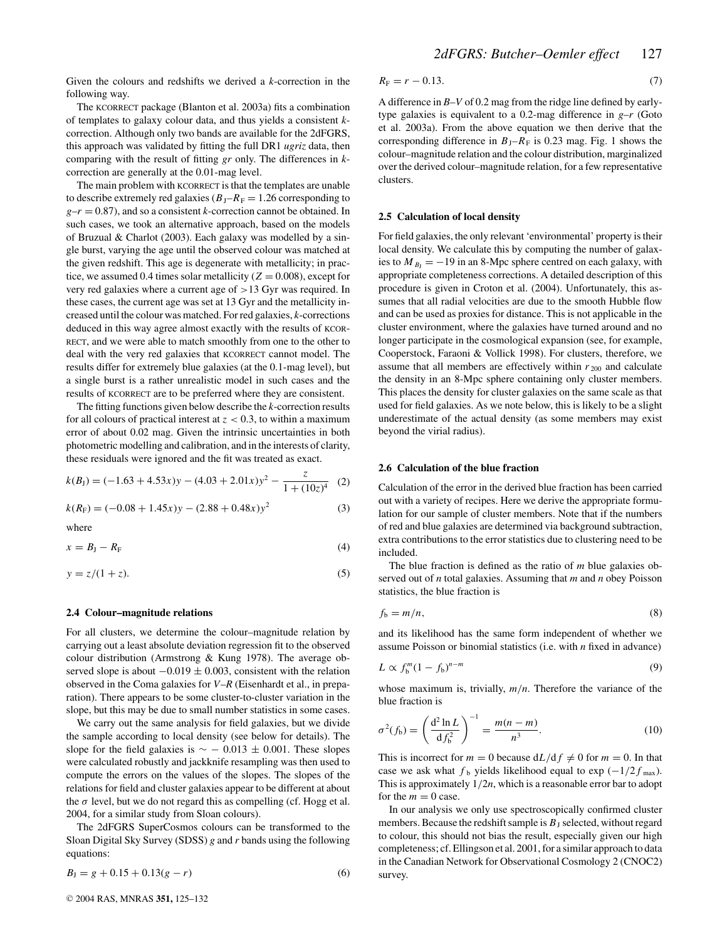Given the colours and redshifts we derived a *k*-correction in the following way.

The KCORRECT package (Blanton et al. 2003a) fits a combination of templates to galaxy colour data, and thus yields a consistent *k*correction. Although only two bands are available for the 2dFGRS, this approach was validated by fitting the full DR1 *ugriz* data, then comparing with the result of fitting *gr* only. The differences in *k*correction are generally at the 0.01-mag level.

The main problem with KCORRECT is that the templates are unable to describe extremely red galaxies ( $B_{\text{J}}-R_{\text{F}} = 1.26$  corresponding to  $g-r = 0.87$ , and so a consistent *k*-correction cannot be obtained. In such cases, we took an alternative approach, based on the models of Bruzual & Charlot (2003). Each galaxy was modelled by a single burst, varying the age until the observed colour was matched at the given redshift. This age is degenerate with metallicity; in practice, we assumed 0.4 times solar metallicity  $(Z = 0.008)$ , except for very red galaxies where a current age of >13 Gyr was required. In these cases, the current age was set at 13 Gyr and the metallicity increased until the colour was matched. Forred galaxies, *k*-corrections deduced in this way agree almost exactly with the results of KCOR-RECT, and we were able to match smoothly from one to the other to deal with the very red galaxies that KCORRECT cannot model. The results differ for extremely blue galaxies (at the 0.1-mag level), but a single burst is a rather unrealistic model in such cases and the results of KCORRECT are to be preferred where they are consistent.

The fitting functions given below describe the *k*-correction results for all colours of practical interest at  $z < 0.3$ , to within a maximum error of about 0.02 mag. Given the intrinsic uncertainties in both photometric modelling and calibration, and in the interests of clarity, these residuals were ignored and the fit was treated as exact.

$$
k(B_{\rm J}) = (-1.63 + 4.53x)y - (4.03 + 2.01x)y^2 - \frac{z}{1 + (10z)^4} \tag{2}
$$

$$
k(R_{\rm F}) = (-0.08 + 1.45x)y - (2.88 + 0.48x)y^2
$$
 (3)

where

$$
x = B_{\rm J} - R_{\rm F} \tag{4}
$$

$$
y = z/(1+z). \tag{5}
$$

#### **2.4 Colour–magnitude relations**

For all clusters, we determine the colour–magnitude relation by carrying out a least absolute deviation regression fit to the observed colour distribution (Armstrong & Kung 1978). The average observed slope is about  $-0.019 \pm 0.003$ , consistent with the relation observed in the Coma galaxies for *V*–*R* (Eisenhardt et al., in preparation). There appears to be some cluster-to-cluster variation in the slope, but this may be due to small number statistics in some cases.

We carry out the same analysis for field galaxies, but we divide the sample according to local density (see below for details). The slope for the field galaxies is  $\sim$  − 0.013 ± 0.001. These slopes were calculated robustly and jackknife resampling was then used to compute the errors on the values of the slopes. The slopes of the relations for field and cluster galaxies appear to be different at about the  $\sigma$  level, but we do not regard this as compelling (cf. Hogg et al. 2004, for a similar study from Sloan colours).

The 2dFGRS SuperCosmos colours can be transformed to the Sloan Digital Sky Survey (SDSS) *g* and *r* bands using the following equations:

$$
B_{J} = g + 0.15 + 0.13(g - r)
$$
\n<sup>(6)</sup>

$$
R_{\rm F}=r-0.13.\tag{7}
$$

A difference in *B*–*V* of 0.2 mag from the ridge line defined by earlytype galaxies is equivalent to a 0.2-mag difference in *g*–*r* (Goto et al. 2003a). From the above equation we then derive that the corresponding difference in  $B_J-R_F$  is 0.23 mag. Fig. 1 shows the colour–magnitude relation and the colour distribution, marginalized over the derived colour–magnitude relation, for a few representative clusters.

#### **2.5 Calculation of local density**

For field galaxies, the only relevant 'environmental' property istheir local density. We calculate this by computing the number of galaxies to  $M_{B_1} = -19$  in an 8-Mpc sphere centred on each galaxy, with appropriate completeness corrections. A detailed description of this procedure is given in Croton et al. (2004). Unfortunately, this assumes that all radial velocities are due to the smooth Hubble flow and can be used as proxies for distance. This is not applicable in the cluster environment, where the galaxies have turned around and no longer participate in the cosmological expansion (see, for example, Cooperstock, Faraoni & Vollick 1998). For clusters, therefore, we assume that all members are effectively within  $r_{200}$  and calculate the density in an 8-Mpc sphere containing only cluster members. This places the density for cluster galaxies on the same scale as that used for field galaxies. As we note below, this is likely to be a slight underestimate of the actual density (as some members may exist beyond the virial radius).

#### **2.6 Calculation of the blue fraction**

Calculation of the error in the derived blue fraction has been carried out with a variety of recipes. Here we derive the appropriate formulation for our sample of cluster members. Note that if the numbers of red and blue galaxies are determined via background subtraction, extra contributions to the error statistics due to clustering need to be included.

The blue fraction is defined as the ratio of *m* blue galaxies observed out of *n* total galaxies. Assuming that *m* and *n* obey Poisson statistics, the blue fraction is

$$
f_{\rm b}=m/n,\tag{8}
$$

and its likelihood has the same form independent of whether we assume Poisson or binomial statistics (i.e. with *n* fixed in advance)

$$
L \propto f_b^m (1 - f_b)^{n-m} \tag{9}
$$

whose maximum is, trivially, *m*/*n*. Therefore the variance of the blue fraction is

$$
\sigma^{2}(f_{b}) = \left(\frac{d^{2} \ln L}{df_{b}^{2}}\right)^{-1} = \frac{m(n-m)}{n^{3}}.
$$
 (10)

This is incorrect for  $m = 0$  because  $dL/df \neq 0$  for  $m = 0$ . In that case we ask what  $f_b$  yields likelihood equal to exp  $(-1/2f_{\text{max}})$ . This is approximately 1/2*n*, which is a reasonable error bar to adopt for the  $m = 0$  case.

In our analysis we only use spectroscopically confirmed cluster members. Because the redshift sample is  $B_J$  selected, without regard to colour, this should not bias the result, especially given our high completeness; cf. Ellingson et al. 2001, for a similar approach to data in the Canadian Network for Observational Cosmology 2 (CNOC2) survey.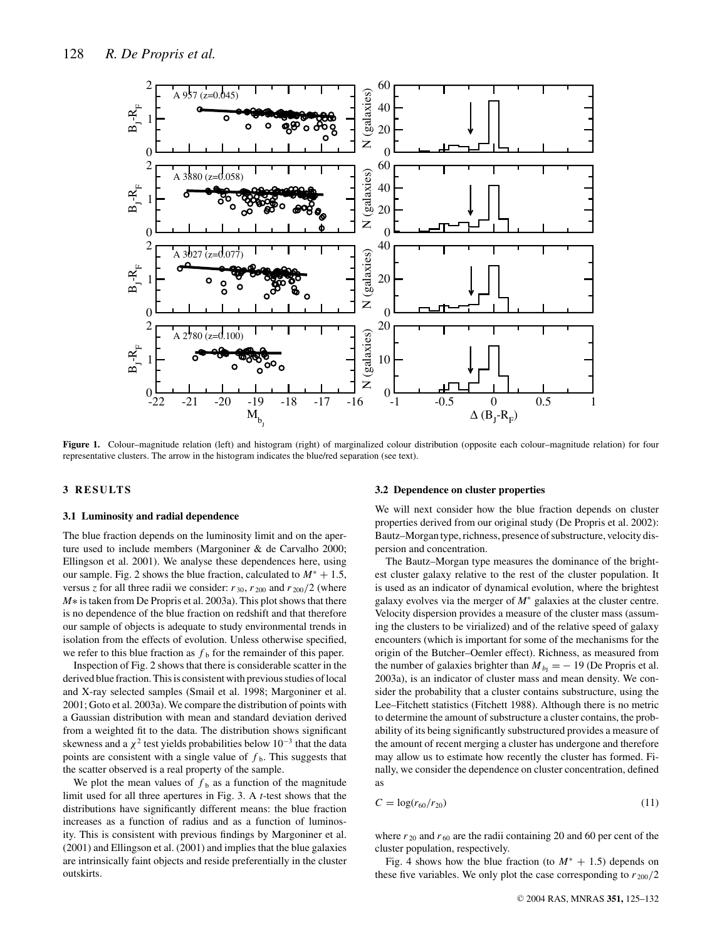

Figure 1. Colour–magnitude relation (left) and histogram (right) of marginalized colour distribution (opposite each colour–magnitude relation) for four representative clusters. The arrow in the histogram indicates the blue/red separation (see text).

## **3 RESULT S**

### **3.1 Luminosity and radial dependence**

The blue fraction depends on the luminosity limit and on the aperture used to include members (Margoniner & de Carvalho 2000; Ellingson et al. 2001). We analyse these dependences here, using our sample. Fig. 2 shows the blue fraction, calculated to *M*<sup>∗</sup> + 1.5, versus *z* for all three radii we consider:  $r_{30}$ ,  $r_{200}$  and  $r_{200}/2$  (where *M*<sup>∗</sup> is taken from De Propris et al. 2003a). This plot shows that there is no dependence of the blue fraction on redshift and that therefore our sample of objects is adequate to study environmental trends in isolation from the effects of evolution. Unless otherwise specified, we refer to this blue fraction as  $f<sub>b</sub>$  for the remainder of this paper.

Inspection of Fig. 2 shows that there is considerable scatter in the derived blue fraction. This is consistent with previous studies of local and X-ray selected samples (Smail et al. 1998; Margoniner et al. 2001; Goto et al. 2003a). We compare the distribution of points with a Gaussian distribution with mean and standard deviation derived from a weighted fit to the data. The distribution shows significant skewness and a  $\chi^2$  test yields probabilities below  $10^{-3}$  that the data points are consistent with a single value of  $f<sub>b</sub>$ . This suggests that the scatter observed is a real property of the sample.

We plot the mean values of  $f<sub>b</sub>$  as a function of the magnitude limit used for all three apertures in Fig. 3. A *t*-test shows that the distributions have significantly different means: the blue fraction increases as a function of radius and as a function of luminosity. This is consistent with previous findings by Margoniner et al. (2001) and Ellingson et al. (2001) and implies that the blue galaxies are intrinsically faint objects and reside preferentially in the cluster outskirts.

#### **3.2 Dependence on cluster properties**

We will next consider how the blue fraction depends on cluster properties derived from our original study (De Propris et al. 2002): Bautz-Morgan type, richness, presence of substructure, velocity dispersion and concentration.

The Bautz–Morgan type measures the dominance of the brightest cluster galaxy relative to the rest of the cluster population. It is used as an indicator of dynamical evolution, where the brightest galaxy evolves via the merger of *M*<sup>∗</sup> galaxies at the cluster centre. Velocity dispersion provides a measure of the cluster mass (assuming the clusters to be virialized) and of the relative speed of galaxy encounters (which is important for some of the mechanisms for the origin of the Butcher–Oemler effect). Richness, as measured from the number of galaxies brighter than  $M_{b_1} = -19$  (De Propris et al. 2003a), is an indicator of cluster mass and mean density. We consider the probability that a cluster contains substructure, using the Lee–Fitchett statistics (Fitchett 1988). Although there is no metric to determine the amount of substructure a cluster contains, the probability of its being significantly substructured provides a measure of the amount of recent merging a cluster has undergone and therefore may allow us to estimate how recently the cluster has formed. Finally, we consider the dependence on cluster concentration, defined as

$$
C = \log(r_{60}/r_{20})
$$
 (11)

where  $r_{20}$  and  $r_{60}$  are the radii containing 20 and 60 per cent of the cluster population, respectively.

Fig. 4 shows how the blue fraction (to  $M^* + 1.5$ ) depends on these five variables. We only plot the case corresponding to  $r_{200}/2$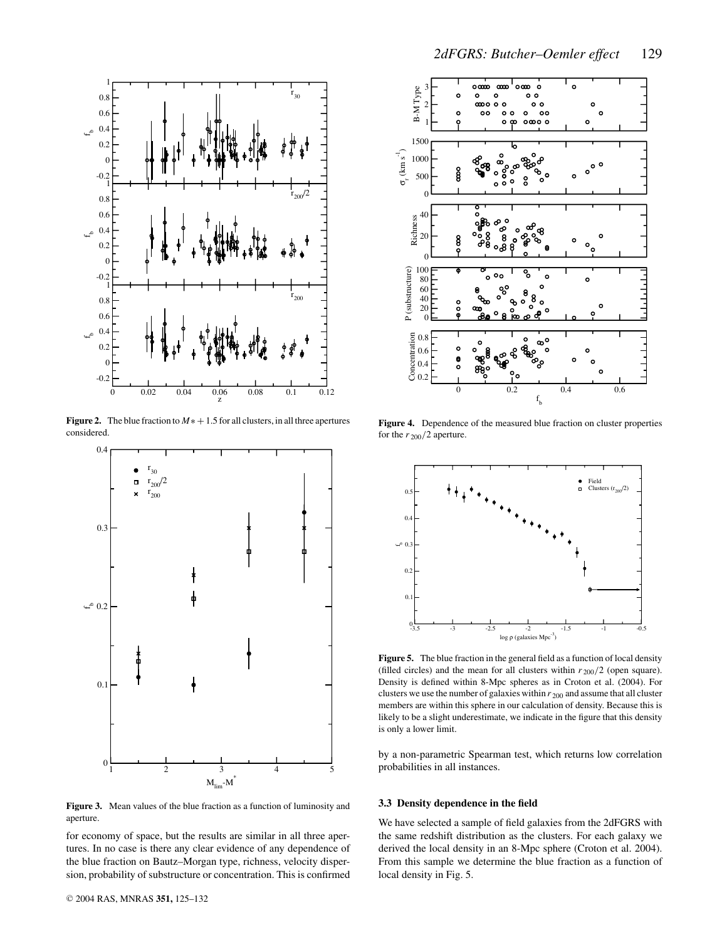

**Figure 2.** The blue fraction to  $M* + 1.5$  for all clusters, in all three apertures considered.



**Figure 3.** Mean values of the blue fraction as a function of luminosity and aperture.

for economy of space, but the results are similar in all three apertures. In no case is there any clear evidence of any dependence of the blue fraction on Bautz–Morgan type, richness, velocity dispersion, probability of substructure or concentration. This is confirmed



**Figure 4.** Dependence of the measured blue fraction on cluster properties for the  $r_{200}/2$  aperture.



**Figure 5.** The blue fraction in the general field as a function of local density (filled circles) and the mean for all clusters within  $r_{200}/2$  (open square). Density is defined within 8-Mpc spheres as in Croton et al. (2004). For clusters we use the number of galaxies within *r* <sup>200</sup> and assume that all cluster members are within this sphere in our calculation of density. Because this is likely to be a slight underestimate, we indicate in the figure that this density is only a lower limit.

by a non-parametric Spearman test, which returns low correlation probabilities in all instances.

#### **3.3 Density dependence in the field**

We have selected a sample of field galaxies from the 2dFGRS with the same redshift distribution as the clusters. For each galaxy we derived the local density in an 8-Mpc sphere (Croton et al. 2004). From this sample we determine the blue fraction as a function of local density in Fig. 5.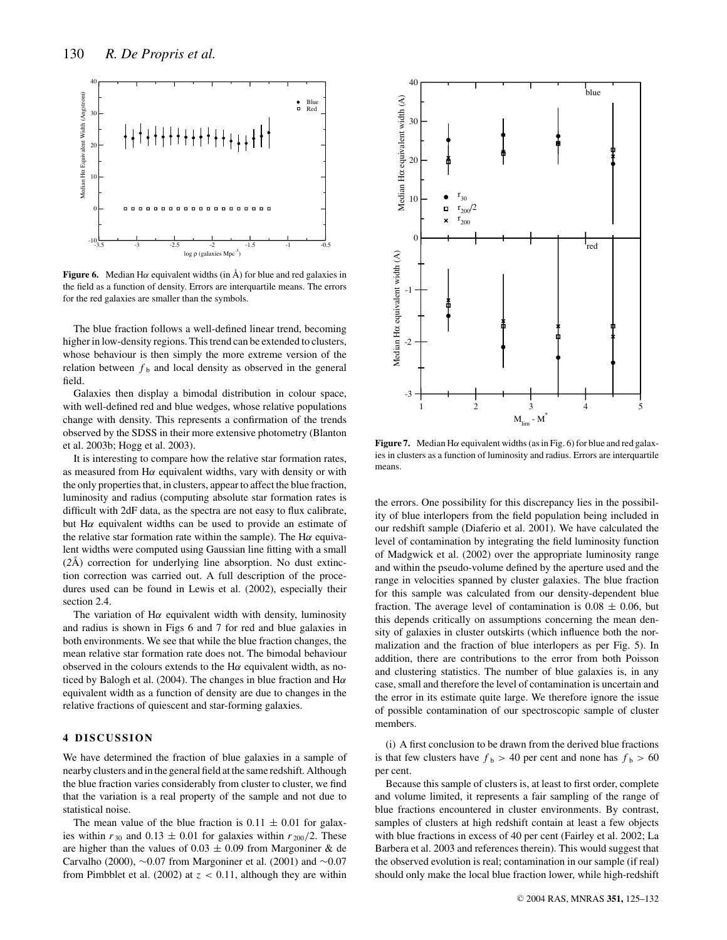

**Figure 6.** Median H $\alpha$  equivalent widths (in  $\hat{A}$ ) for blue and red galaxies in the field as a function of density. Errors are interquartile means. The errors for the red galaxies are smaller than the symbols.

The blue fraction follows a well-defined linear trend, becoming higher in low-density regions. This trend can be extended to clusters, whose behaviour is then simply the more extreme version of the relation between  $f<sub>b</sub>$  and local density as observed in the general field.

Galaxies then display a bimodal distribution in colour space, with well-defined red and blue wedges, whose relative populations change with density. This represents a confirmation of the trends observed by the SDSS in their more extensive photometry (Blanton et al. 2003b; Hogg et al. 2003).

It is interesting to compare how the relative star formation rates, as measured from  $H\alpha$  equivalent widths, vary with density or with the only properties that, in clusters, appear to affect the blue fraction, luminosity and radius (computing absolute star formation rates is difficult with 2dF data, as the spectra are not easy to flux calibrate, but  $H\alpha$  equivalent widths can be used to provide an estimate of the relative star formation rate within the sample). The  $H\alpha$  equivalent widths were computed using Gaussian line fitting with a small (*2*Å) correction for underlying line absorption. No dust extinction correction was carried out. A full description of the procedures used can be found in Lewis et al. (2002), especially their section 2.4.

The variation of  $H\alpha$  equivalent width with density, luminosity and radius is shown in Figs 6 and 7 for red and blue galaxies in both environments. We see that while the blue fraction changes, the mean relative star formation rate does not. The bimodal behaviour observed in the colours extends to the  $H\alpha$  equivalent width, as noticed by Balogh et al. (2004). The changes in blue fraction and  $H\alpha$ equivalent width as a function of density are due to changes in the relative fractions of quiescent and star-forming galaxies.

# **4 DISCUSSION**

We have determined the fraction of blue galaxies in a sample of nearby clusters and in the general field at the same redshift. Although the blue fraction varies considerably from cluster to cluster, we find that the variation is a real property of the sample and not due to statistical noise.

The mean value of the blue fraction is  $0.11 \pm 0.01$  for galaxies within  $r_{30}$  and  $0.13 \pm 0.01$  for galaxies within  $r_{200}/2$ . These are higher than the values of  $0.03 \pm 0.09$  from Margoniner & de Carvalho (2000),  $\sim$ 0.07 from Margoniner et al. (2001) and  $\sim$ 0.07 from Pimbblet et al. (2002) at  $z < 0.11$ , although they are within



**Figure 7.** Median H $\alpha$  equivalent widths (as in Fig. 6) for blue and red galaxies in clusters as a function of luminosity and radius. Errors are interquartile means.

the errors. One possibility for this discrepancy lies in the possibility of blue interlopers from the field population being included in our redshift sample (Diaferio et al. 2001). We have calculated the level of contamination by integrating the field luminosity function of Madgwick et al. (2002) over the appropriate luminosity range and within the pseudo-volume defined by the aperture used and the range in velocities spanned by cluster galaxies. The blue fraction for this sample was calculated from our density-dependent blue fraction. The average level of contamination is  $0.08 \pm 0.06$ , but this depends critically on assumptions concerning the mean density of galaxies in cluster outskirts (which influence both the normalization and the fraction of blue interlopers as per Fig. 5). In addition, there are contributions to the error from both Poisson and clustering statistics. The number of blue galaxies is, in any case, small and therefore the level of contamination is uncertain and the error in its estimate quite large. We therefore ignore the issue of possible contamination of our spectroscopic sample of cluster members.

(i) A first conclusion to be drawn from the derived blue fractions is that few clusters have  $f_b > 40$  per cent and none has  $f_b > 60$ per cent.

Because this sample of clusters is, at least to first order, complete and volume limited, it represents a fair sampling of the range of blue fractions encountered in cluster environments. By contrast, samples of clusters at high redshift contain at least a few objects with blue fractions in excess of 40 per cent (Fairley et al. 2002; La Barbera et al. 2003 and references therein). This would suggest that the observed evolution is real; contamination in our sample (if real) should only make the local blue fraction lower, while high-redshift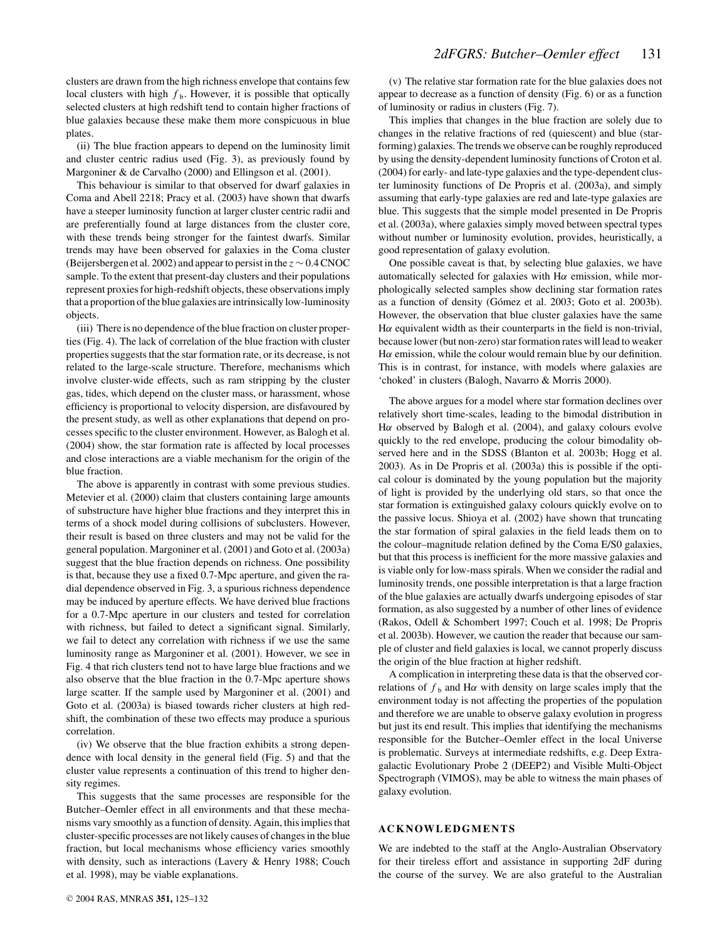clusters are drawn from the high richness envelope that contains few local clusters with high  $f<sub>b</sub>$ . However, it is possible that optically selected clusters at high redshift tend to contain higher fractions of blue galaxies because these make them more conspicuous in blue plates.

(ii) The blue fraction appears to depend on the luminosity limit and cluster centric radius used (Fig. 3), as previously found by Margoniner & de Carvalho (2000) and Ellingson et al. (2001).

This behaviour is similar to that observed for dwarf galaxies in Coma and Abell 2218; Pracy et al. (2003) have shown that dwarfs have a steeper luminosity function at larger cluster centric radii and are preferentially found at large distances from the cluster core, with these trends being stronger for the faintest dwarfs. Similar trends may have been observed for galaxies in the Coma cluster (Beijersbergen et al. 2002) and appearto persist in the *z* ∼0.4CNOC sample. To the extent that present-day clusters and their populations represent proxies for high-redshift objects, these observations imply that a proportion of the blue galaxies are intrinsically low-luminosity objects.

(iii) There is no dependence of the blue fraction on cluster properties (Fig. 4). The lack of correlation of the blue fraction with cluster properties suggests that the star formation rate, or its decrease, is not related to the large-scale structure. Therefore, mechanisms which involve cluster-wide effects, such as ram stripping by the cluster gas, tides, which depend on the cluster mass, or harassment, whose efficiency is proportional to velocity dispersion, are disfavoured by the present study, as well as other explanations that depend on processes specific to the cluster environment. However, as Balogh et al. (2004) show, the star formation rate is affected by local processes and close interactions are a viable mechanism for the origin of the blue fraction.

The above is apparently in contrast with some previous studies. Metevier et al. (2000) claim that clusters containing large amounts of substructure have higher blue fractions and they interpret this in terms of a shock model during collisions of subclusters. However, their result is based on three clusters and may not be valid for the general population. Margoniner et al. (2001) and Goto et al. (2003a) suggest that the blue fraction depends on richness. One possibility is that, because they use a fixed 0.7-Mpc aperture, and given the radial dependence observed in Fig. 3, a spurious richness dependence may be induced by aperture effects. We have derived blue fractions for a 0.7-Mpc aperture in our clusters and tested for correlation with richness, but failed to detect a significant signal. Similarly, we fail to detect any correlation with richness if we use the same luminosity range as Margoniner et al. (2001). However, we see in Fig. 4 that rich clusters tend not to have large blue fractions and we also observe that the blue fraction in the 0.7-Mpc aperture shows large scatter. If the sample used by Margoniner et al. (2001) and Goto et al. (2003a) is biased towards richer clusters at high redshift, the combination of these two effects may produce a spurious correlation.

(iv) We observe that the blue fraction exhibits a strong dependence with local density in the general field (Fig. 5) and that the cluster value represents a continuation of this trend to higher density regimes.

This suggests that the same processes are responsible for the Butcher–Oemler effect in all environments and that these mechanisms vary smoothly as a function of density. Again, this implies that cluster-specific processes are not likely causes of changes in the blue fraction, but local mechanisms whose efficiency varies smoothly with density, such as interactions (Lavery & Henry 1988; Couch et al. 1998), may be viable explanations.

(v) The relative star formation rate for the blue galaxies does not appear to decrease as a function of density (Fig. 6) or as a function of luminosity or radius in clusters (Fig. 7).

This implies that changes in the blue fraction are solely due to changes in the relative fractions of red (quiescent) and blue (starforming) galaxies. The trends we observe can be roughly reproduced by using the density-dependent luminosity functions of Croton et al. (2004) for early- and late-type galaxies and the type-dependent cluster luminosity functions of De Propris et al. (2003a), and simply assuming that early-type galaxies are red and late-type galaxies are blue. This suggests that the simple model presented in De Propris et al. (2003a), where galaxies simply moved between spectral types without number or luminosity evolution, provides, heuristically, a good representation of galaxy evolution.

One possible caveat is that, by selecting blue galaxies, we have automatically selected for galaxies with  $H\alpha$  emission, while morphologically selected samples show declining star formation rates as a function of density (Gómez et al. 2003; Goto et al. 2003b). However, the observation that blue cluster galaxies have the same H $\alpha$  equivalent width as their counterparts in the field is non-trivial, because lower (but non-zero) star formation rates will lead to weaker H $\alpha$  emission, while the colour would remain blue by our definition. This is in contrast, for instance, with models where galaxies are 'choked' in clusters (Balogh, Navarro & Morris 2000).

The above argues for a model where star formation declines over relatively short time-scales, leading to the bimodal distribution in Hα observed by Balogh et al. (2004), and galaxy colours evolve quickly to the red envelope, producing the colour bimodality observed here and in the SDSS (Blanton et al. 2003b; Hogg et al. 2003). As in De Propris et al. (2003a) this is possible if the optical colour is dominated by the young population but the majority of light is provided by the underlying old stars, so that once the star formation is extinguished galaxy colours quickly evolve on to the passive locus. Shioya et al. (2002) have shown that truncating the star formation of spiral galaxies in the field leads them on to the colour–magnitude relation defined by the Coma E/S0 galaxies, but that this process is inefficient for the more massive galaxies and is viable only for low-mass spirals. When we consider the radial and luminosity trends, one possible interpretation is that a large fraction of the blue galaxies are actually dwarfs undergoing episodes of star formation, as also suggested by a number of other lines of evidence (Rakos, Odell & Schombert 1997; Couch et al. 1998; De Propris et al. 2003b). However, we caution the reader that because our sample of cluster and field galaxies is local, we cannot properly discuss the origin of the blue fraction at higher redshift.

A complication in interpreting these data is that the observed correlations of  $f<sub>b</sub>$  and H $\alpha$  with density on large scales imply that the environment today is not affecting the properties of the population and therefore we are unable to observe galaxy evolution in progress but just its end result. This implies that identifying the mechanisms responsible for the Butcher–Oemler effect in the local Universe is problematic. Surveys at intermediate redshifts, e.g. Deep Extragalactic Evolutionary Probe 2 (DEEP2) and Visible Multi-Object Spectrograph (VIMOS), may be able to witness the main phases of galaxy evolution.

#### **ACKNOWLEDGMENTS**

We are indebted to the staff at the Anglo-Australian Observatory for their tireless effort and assistance in supporting 2dF during the course of the survey. We are also grateful to the Australian